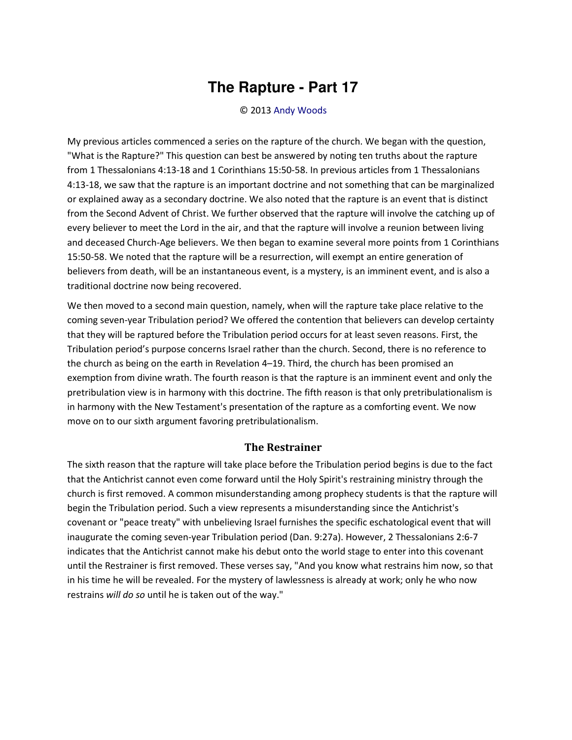## **The Rapture - Part 17**

## © 2013 [Andy Woods](http://www.spiritandtruth.org/id/aw.htm)

My previous articles commenced a series on the rapture of the church. We began with the question, "What is the Rapture?" This question can best be answered by noting ten truths about the rapture from 1 Thessalonians 4:13-18 and 1 Corinthians 15:50-58. In previous articles from 1 Thessalonians 4:13-18, we saw that the rapture is an important doctrine and not something that can be marginalized or explained away as a secondary doctrine. We also noted that the rapture is an event that is distinct from the Second Advent of Christ. We further observed that the rapture will involve the catching up of every believer to meet the Lord in the air, and that the rapture will involve a reunion between living and deceased Church-Age believers. We then began to examine several more points from 1 Corinthians 15:50-58. We noted that the rapture will be a resurrection, will exempt an entire generation of believers from death, will be an instantaneous event, is a mystery, is an imminent event, and is also a traditional doctrine now being recovered.

We then moved to a second main question, namely, when will the rapture take place relative to the coming seven-year Tribulation period? We offered the contention that believers can develop certainty that they will be raptured before the Tribulation period occurs for at least seven reasons. First, the Tribulation period's purpose concerns Israel rather than the church. Second, there is no reference to the church as being on the earth in Revelation 4–19. Third, the church has been promised an exemption from divine wrath. The fourth reason is that the rapture is an imminent event and only the pretribulation view is in harmony with this doctrine. The fifth reason is that only pretribulationalism is in harmony with the New Testament's presentation of the rapture as a comforting event. We now move on to our sixth argument favoring pretribulationalism.

## **The Restrainer**

The sixth reason that the rapture will take place before the Tribulation period begins is due to the fact that the Antichrist cannot even come forward until the Holy Spirit's restraining ministry through the church is first removed. A common misunderstanding among prophecy students is that the rapture will begin the Tribulation period. Such a view represents a misunderstanding since the Antichrist's covenant or "peace treaty" with unbelieving Israel furnishes the specific eschatological event that will inaugurate the coming seven-year Tribulation period (Dan. 9:27a). However, 2 Thessalonians 2:6-7 indicates that the Antichrist cannot make his debut onto the world stage to enter into this covenant until the Restrainer is first removed. These verses say, "And you know what restrains him now, so that in his time he will be revealed. For the mystery of lawlessness is already at work; only he who now restrains *will do so* until he is taken out of the way."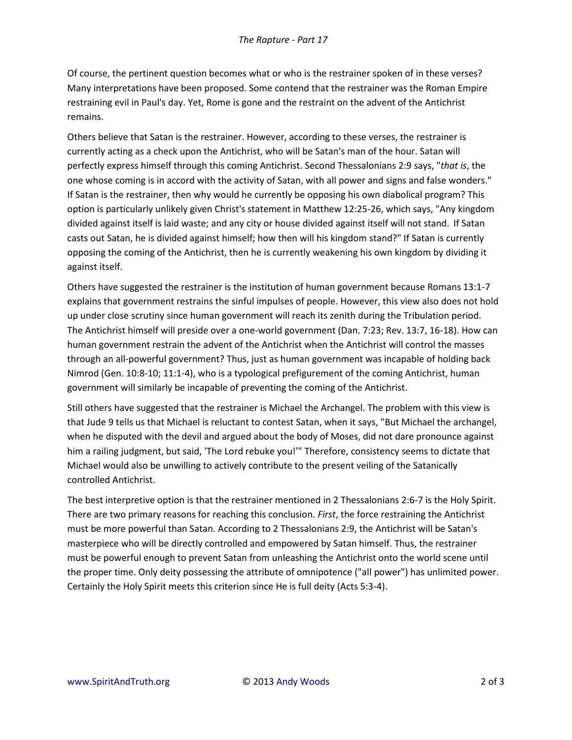Of course, the pertinent question becomes what or who is the restrainer spoken of in these verses? Many interpretations have been proposed. Some contend that the restrainer was the Roman Empire restraining evil in Paul's day. Yet, Rome is gone and the restraint on the advent of the Antichrist remains.

Others believe that Satan is the restrainer. However, according to these verses, the restrainer is currently acting as a check upon the Antichrist, who will be Satan's man of the hour. Satan will perfectly express himself through this coming Antichrist. Second Thessalonians 2:9 says, "*that is*, the one whose coming is in accord with the activity of Satan, with all power and signs and false wonders." If Satan is the restrainer, then why would he currently be opposing his own diabolical program? This option is particularly unlikely given Christ's statement in Matthew 12:25-26, which says, "Any kingdom divided against itself is laid waste; and any city or house divided against itself will not stand. If Satan casts out Satan, he is divided against himself; how then will his kingdom stand?" If Satan is currently opposing the coming of the Antichrist, then he is currently weakening his own kingdom by dividing it against itself.

Others have suggested the restrainer is the institution of human government because Romans 13:1-7 explains that government restrains the sinful impulses of people. However, this view also does not hold up under close scrutiny since human government will reach its zenith during the Tribulation period. The Antichrist himself will preside over a one-world government (Dan. 7:23; Rev. 13:7, 16-18). How can human government restrain the advent of the Antichrist when the Antichrist will control the masses through an all-powerful government? Thus, just as human government was incapable of holding back Nimrod (Gen. 10:8-10; 11:1-4), who is a typological prefigurement of the coming Antichrist, human government will similarly be incapable of preventing the coming of the Antichrist.

Still others have suggested that the restrainer is Michael the Archangel. The problem with this view is that Jude 9 tells us that Michael is reluctant to contest Satan, when it says, "But Michael the archangel, when he disputed with the devil and argued about the body of Moses, did not dare pronounce against him a railing judgment, but said, 'The Lord rebuke you!'" Therefore, consistency seems to dictate that Michael would also be unwilling to actively contribute to the present veiling of the Satanically controlled Antichrist.

The best interpretive option is that the restrainer mentioned in 2 Thessalonians 2:6-7 is the Holy Spirit. There are two primary reasons for reaching this conclusion. *First*, the force restraining the Antichrist must be more powerful than Satan. According to 2 Thessalonians 2:9, the Antichrist will be Satan's masterpiece who will be directly controlled and empowered by Satan himself. Thus, the restrainer must be powerful enough to prevent Satan from unleashing the Antichrist onto the world scene until the proper time. Only deity possessing the attribute of omnipotence ("all power") has unlimited power. Certainly the Holy Spirit meets this criterion since He is full deity (Acts 5:3-4).